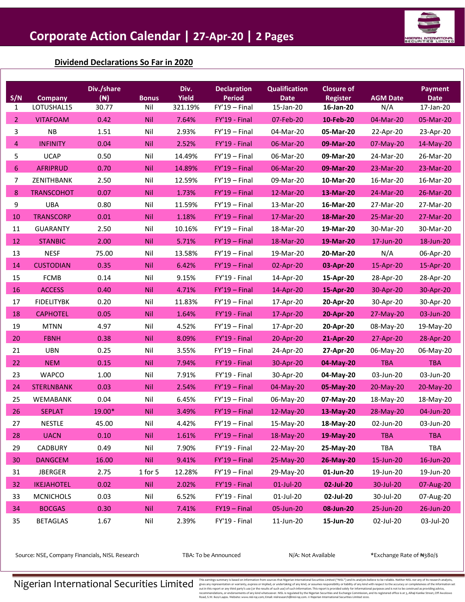

## **Dividend Declarations So Far in 2020**

| S/N              | <b>Company</b>    | Div./share<br>$(\mathbb{N})$ | <b>Bonus</b> | Div.<br><b>Yield</b> | <b>Declaration</b><br><b>Period</b> | <b>Qualification</b><br><b>Date</b> | <b>Closure of</b><br><b>Register</b> | <b>AGM Date</b> | <b>Payment</b><br><b>Date</b> |
|------------------|-------------------|------------------------------|--------------|----------------------|-------------------------------------|-------------------------------------|--------------------------------------|-----------------|-------------------------------|
| $\mathbf{1}$     | LOTUSHAL15        | 30.77                        | Nil          | 321.19%              | $FY'19 - Final$                     | 15-Jan-20                           | 16-Jan-20                            | N/A             | 17-Jan-20                     |
| $\overline{2}$   | <b>VITAFOAM</b>   | 0.42                         | <b>Nil</b>   | 7.64%                | FY'19 - Final                       | 07-Feb-20                           | 10-Feb-20                            | 04-Mar-20       | 05-Mar-20                     |
| 3                | <b>NB</b>         | 1.51                         | Nil          | 2.93%                | $FY'19 - Final$                     | 04-Mar-20                           | 05-Mar-20                            | 22-Apr-20       | 23-Apr-20                     |
| $\overline{4}$   | <b>INFINITY</b>   | 0.04                         | <b>Nil</b>   | 2.52%                | FY'19 - Final                       | 06-Mar-20                           | 09-Mar-20                            | 07-May-20       | 14-May-20                     |
| 5                | <b>UCAP</b>       | 0.50                         | Nil          | 14.49%               | $FY'19 - Final$                     | 06-Mar-20                           | 09-Mar-20                            | 24-Mar-20       | 26-Mar-20                     |
| $\boldsymbol{6}$ | <b>AFRIPRUD</b>   | 0.70                         | Nil          | 14.89%               | $FY'19 - Final$                     | 06-Mar-20                           | 09-Mar-20                            | 23-Mar-20       | 23-Mar-20                     |
| $\overline{7}$   | ZENITHBANK        | 2.50                         | Nil          | 12.59%               | $FY'19 - Final$                     | 09-Mar-20                           | 10-Mar-20                            | 16-Mar-20       | 16-Mar-20                     |
| 8                | <b>TRANSCOHOT</b> | 0.07                         | <b>Nil</b>   | 1.73%                | $FY'19 - Final$                     | 12-Mar-20                           | 13-Mar-20                            | 24-Mar-20       | 26-Mar-20                     |
| 9                | <b>UBA</b>        | 0.80                         | Nil          | 11.59%               | $FY'19 - Final$                     | 13-Mar-20                           | 16-Mar-20                            | 27-Mar-20       | 27-Mar-20                     |
| 10               | <b>TRANSCORP</b>  | 0.01                         | <b>Nil</b>   | 1.18%                | $FY'19 - Final$                     | 17-Mar-20                           | 18-Mar-20                            | 25-Mar-20       | 27-Mar-20                     |
| 11               | <b>GUARANTY</b>   | 2.50                         | Nil          | 10.16%               | $FY'19 - Final$                     | 18-Mar-20                           | 19-Mar-20                            | 30-Mar-20       | 30-Mar-20                     |
| 12               | <b>STANBIC</b>    | 2.00                         | Nil          | 5.71%                | $FY'19 - Final$                     | 18-Mar-20                           | 19-Mar-20                            | 17-Jun-20       | 18-Jun-20                     |
| 13               | <b>NESF</b>       | 75.00                        | Nil          | 13.58%               | $FY'19 - Final$                     | 19-Mar-20                           | 20-Mar-20                            | N/A             | 06-Apr-20                     |
| 14               | <b>CUSTODIAN</b>  | 0.35                         | <b>Nil</b>   | 6.42%                | $FY'19 - Final$                     | 02-Apr-20                           | 03-Apr-20                            | 15-Apr-20       | 15-Apr-20                     |
| 15               | <b>FCMB</b>       | 0.14                         | Nil          | 9.15%                | FY'19 - Final                       | 14-Apr-20                           | 15-Apr-20                            | 28-Apr-20       | 28-Apr-20                     |
| 16               | <b>ACCESS</b>     | 0.40                         | <b>Nil</b>   | 4.71%                | $FY'19 - Final$                     | 14-Apr-20                           | 15-Apr-20                            | 30-Apr-20       | 30-Apr-20                     |
| 17               | <b>FIDELITYBK</b> | 0.20                         | Nil          | 11.83%               | $FY'19 - Final$                     | 17-Apr-20                           | 20-Apr-20                            | 30-Apr-20       | 30-Apr-20                     |
| 18               | <b>CAPHOTEL</b>   | 0.05                         | Nil          | 1.64%                | FY'19 - Final                       | 17-Apr-20                           | 20-Apr-20                            | 27-May-20       | 03-Jun-20                     |
| 19               | <b>MTNN</b>       | 4.97                         | Nil          | 4.52%                | $FY'19 - Final$                     | 17-Apr-20                           | 20-Apr-20                            | 08-May-20       | 19-May-20                     |
| 20               | <b>FBNH</b>       | 0.38                         | <b>Nil</b>   | 8.09%                | FY'19 - Final                       | 20-Apr-20                           | 21-Apr-20                            | 27-Apr-20       | 28-Apr-20                     |
| 21               | <b>UBN</b>        | 0.25                         | Nil          | 3.55%                | $FY'19 - Final$                     | 24-Apr-20                           | 27-Apr-20                            | 06-May-20       | 06-May-20                     |
| 22               | <b>NEM</b>        | 0.15                         | <b>Nil</b>   | 7.94%                | FY'19 - Final                       | 30-Apr-20                           | 04-May-20                            | <b>TBA</b>      | <b>TBA</b>                    |
| 23               | <b>WAPCO</b>      | 1.00                         | Nil          | 7.91%                | FY'19 - Final                       | 30-Apr-20                           | 04-May-20                            | 03-Jun-20       | 03-Jun-20                     |
| 24               | <b>STERLNBANK</b> | 0.03                         | Nil          | 2.54%                | $FY'19 - Final$                     | 04-May-20                           | 05-May-20                            | 20-May-20       | 20-May-20                     |
| 25               | WEMABANK          | 0.04                         | Nil          | 6.45%                | $FY'19 - Final$                     | 06-May-20                           | 07-May-20                            | 18-May-20       | 18-May-20                     |
| 26               | <b>SEPLAT</b>     | 19.00*                       | <b>Nil</b>   | 3.49%                | $FY'19 - Final$                     | 12-May-20                           | 13-May-20                            | 28-May-20       | 04-Jun-20                     |
| 27               | <b>NESTLE</b>     | 45.00                        | Nil          | 4.42%                | $FY'19 - Final$                     | 15-May-20                           | 18-May-20                            | 02-Jun-20       | 03-Jun-20                     |
| 28               | <b>UACN</b>       | 0.10                         | <b>Nil</b>   | 1.61%                | $FY'19 - Final$                     | 18-May-20                           | 19-May-20                            | <b>TBA</b>      | <b>TBA</b>                    |
| 29               | CADBURY           | 0.49                         | Nil          | 7.90%                | FY'19 - Final                       | 22-May-20                           | 25-May-20                            | TBA             | TBA                           |
| 30               | <b>DANGCEM</b>    | 16.00                        | <b>Nil</b>   | 9.41%                | $FY'19 - Final$                     | 25-May-20                           | 26-May-20                            | 15-Jun-20       | 16-Jun-20                     |
| 31               | <b>JBERGER</b>    | 2.75                         | 1 for 5      | 12.28%               | $FY'19 - Final$                     | 29-May-20                           | 01-Jun-20                            | 19-Jun-20       | 19-Jun-20                     |
| 32               | <b>IKEJAHOTEL</b> | 0.02                         | <b>Nil</b>   | 2.02%                | FY'19 - Final                       | 01-Jul-20                           | 02-Jul-20                            | 30-Jul-20       | 07-Aug-20                     |
| 33               | <b>MCNICHOLS</b>  | 0.03                         | Nil          | 6.52%                | FY'19 - Final                       | 01-Jul-20                           | 02-Jul-20                            | 30-Jul-20       | 07-Aug-20                     |
| 34               | <b>BOCGAS</b>     | 0.30                         | <b>Nil</b>   | 7.41%                | $FY19 - Final$                      | 05-Jun-20                           | 08-Jun-20                            | 25-Jun-20       | 26-Jun-20                     |
| 35               | <b>BETAGLAS</b>   | 1.67                         | Nil          | 2.39%                | FY'19 - Final                       | 11-Jun-20                           | 15-Jun-20                            | 02-Jul-20       | 03-Jul-20                     |

Source: NSE, Company Financials, NISL Research TBA: To be Announced N/A: Not Available \*Exchange Rate of ₦380/\$

 $\textbf{N}$  is a searing summarily becommended to an  $\textbf{N}$  is a searing representation or warranity, expersion information of curdit of any bind, or assumes respectively. The secondation of south distributed in the separa